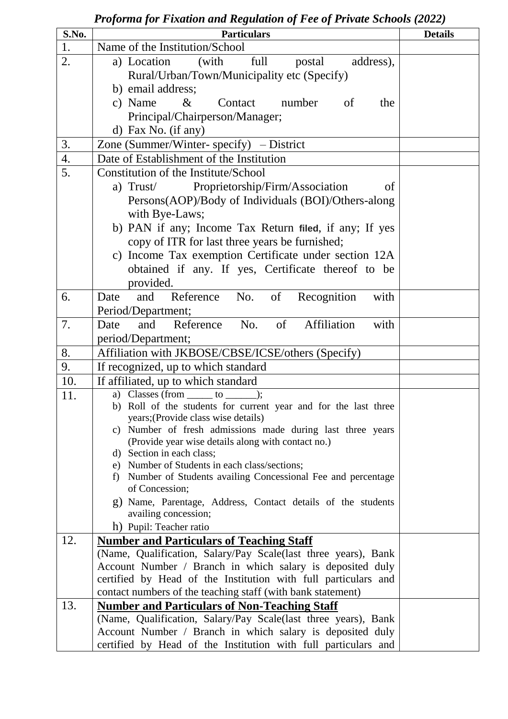| S.No. | <b>Particulars</b>                                                                                                          | <b>Details</b> |
|-------|-----------------------------------------------------------------------------------------------------------------------------|----------------|
| 1.    | Name of the Institution/School                                                                                              |                |
| 2.    | full<br>postal<br>address),<br>a) Location<br>(with                                                                         |                |
|       | Rural/Urban/Town/Municipality etc (Specify)                                                                                 |                |
|       | b) email address;                                                                                                           |                |
|       | c) Name<br>Contact<br>number<br>$\&$<br>of<br>the                                                                           |                |
|       | Principal/Chairperson/Manager;                                                                                              |                |
|       | d) Fax No. (if any)                                                                                                         |                |
| 3.    | Zone (Summer/Winter-specify) $-$ District                                                                                   |                |
| 4.    | Date of Establishment of the Institution                                                                                    |                |
| 5.    | Constitution of the Institute/School                                                                                        |                |
|       | Proprietorship/Firm/Association<br>a) Trust<br>of                                                                           |                |
|       | Persons(AOP)/Body of Individuals (BOI)/Others-along                                                                         |                |
|       | with Bye-Laws;                                                                                                              |                |
|       | b) PAN if any; Income Tax Return filed, if any; If yes                                                                      |                |
|       | copy of ITR for last three years be furnished;                                                                              |                |
|       | c) Income Tax exemption Certificate under section 12A                                                                       |                |
|       | obtained if any. If yes, Certificate thereof to be                                                                          |                |
|       | provided.                                                                                                                   |                |
| 6.    | Reference<br>No.<br>of<br>Recognition<br>Date<br>and<br>with                                                                |                |
|       | Period/Department;                                                                                                          |                |
| 7.    | Affiliation<br>of<br>Reference<br>No.<br>and<br>with<br>Date                                                                |                |
|       | period/Department;                                                                                                          |                |
| 8.    | Affiliation with JKBOSE/CBSE/ICSE/others (Specify)                                                                          |                |
| 9.    | If recognized, up to which standard                                                                                         |                |
| 10.   | If affiliated, up to which standard                                                                                         |                |
| 11.   | $\overline{a}$ ) Classes (from $\_\_\_\_$ to $\_\$                                                                          |                |
|       | b) Roll of the students for current year and for the last three                                                             |                |
|       | years; (Provide class wise details)                                                                                         |                |
|       | c) Number of fresh admissions made during last three years<br>(Provide year wise details along with contact no.)            |                |
|       | d) Section in each class;                                                                                                   |                |
|       | e) Number of Students in each class/sections;                                                                               |                |
|       | Number of Students availing Concessional Fee and percentage<br>f)                                                           |                |
|       | of Concession;                                                                                                              |                |
|       | g) Name, Parentage, Address, Contact details of the students                                                                |                |
|       | availing concession;                                                                                                        |                |
|       | h) Pupil: Teacher ratio                                                                                                     |                |
| 12.   | <b>Number and Particulars of Teaching Staff</b>                                                                             |                |
|       | (Name, Qualification, Salary/Pay Scale(last three years), Bank<br>Account Number / Branch in which salary is deposited duly |                |
|       | certified by Head of the Institution with full particulars and                                                              |                |
|       | contact numbers of the teaching staff (with bank statement)                                                                 |                |
| 13.   | <b>Number and Particulars of Non-Teaching Staff</b>                                                                         |                |
|       | (Name, Qualification, Salary/Pay Scale (last three years), Bank                                                             |                |
|       | Account Number / Branch in which salary is deposited duly                                                                   |                |
|       | certified by Head of the Institution with full particulars and                                                              |                |

## *Proforma for Fixation and Regulation of Fee of Private Schools (2022)*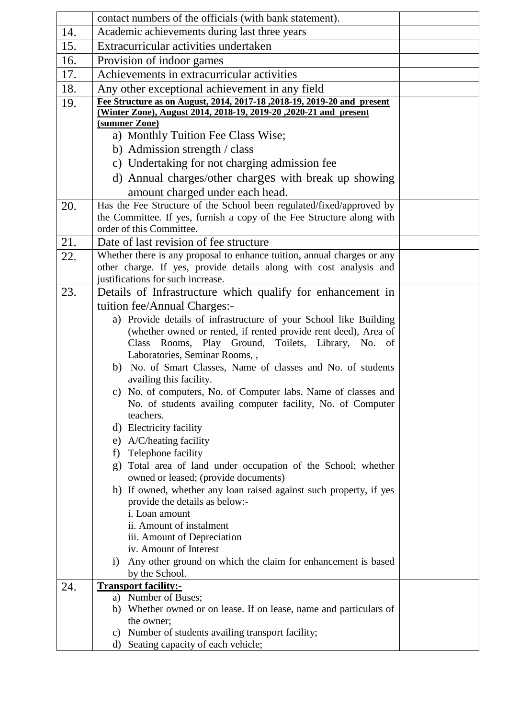|     | contact numbers of the officials (with bank statement).                                           |  |  |  |  |  |
|-----|---------------------------------------------------------------------------------------------------|--|--|--|--|--|
| 14. | Academic achievements during last three years                                                     |  |  |  |  |  |
| 15. | Extracurricular activities undertaken                                                             |  |  |  |  |  |
| 16. | Provision of indoor games                                                                         |  |  |  |  |  |
| 17. | Achievements in extracurricular activities                                                        |  |  |  |  |  |
| 18. | Any other exceptional achievement in any field                                                    |  |  |  |  |  |
| 19. | Fee Structure as on August, 2014, 2017-18, 2018-19, 2019-20 and present                           |  |  |  |  |  |
|     | (Winter Zone), August 2014, 2018-19, 2019-20, 2020-21 and present                                 |  |  |  |  |  |
|     | (summer Zone)<br>a) Monthly Tuition Fee Class Wise;                                               |  |  |  |  |  |
|     |                                                                                                   |  |  |  |  |  |
|     | b) Admission strength / class                                                                     |  |  |  |  |  |
|     | c) Undertaking for not charging admission fee                                                     |  |  |  |  |  |
|     | d) Annual charges/other charges with break up showing                                             |  |  |  |  |  |
|     | amount charged under each head.                                                                   |  |  |  |  |  |
| 20. | Has the Fee Structure of the School been regulated/fixed/approved by                              |  |  |  |  |  |
|     | the Committee. If yes, furnish a copy of the Fee Structure along with<br>order of this Committee. |  |  |  |  |  |
| 21. | Date of last revision of fee structure                                                            |  |  |  |  |  |
| 22. | Whether there is any proposal to enhance tuition, annual charges or any                           |  |  |  |  |  |
|     | other charge. If yes, provide details along with cost analysis and                                |  |  |  |  |  |
|     | justifications for such increase.                                                                 |  |  |  |  |  |
| 23. | Details of Infrastructure which qualify for enhancement in                                        |  |  |  |  |  |
|     | tuition fee/Annual Charges:-                                                                      |  |  |  |  |  |
|     | a) Provide details of infrastructure of your School like Building                                 |  |  |  |  |  |
|     | (whether owned or rented, if rented provide rent deed), Area of                                   |  |  |  |  |  |
|     | Class Rooms, Play Ground, Toilets, Library, No. of                                                |  |  |  |  |  |
|     | Laboratories, Seminar Rooms,,                                                                     |  |  |  |  |  |
|     | b) No. of Smart Classes, Name of classes and No. of students<br>availing this facility.           |  |  |  |  |  |
|     | c) No. of computers, No. of Computer labs. Name of classes and                                    |  |  |  |  |  |
|     | No. of students availing computer facility, No. of Computer<br>teachers.                          |  |  |  |  |  |
|     | d) Electricity facility                                                                           |  |  |  |  |  |
|     | e) A/C/heating facility                                                                           |  |  |  |  |  |
|     | Telephone facility<br>f)                                                                          |  |  |  |  |  |
|     | Total area of land under occupation of the School; whether<br>g)                                  |  |  |  |  |  |
|     | owned or leased; (provide documents)                                                              |  |  |  |  |  |
|     | h) If owned, whether any loan raised against such property, if yes                                |  |  |  |  |  |
|     | provide the details as below:-                                                                    |  |  |  |  |  |
|     | i. Loan amount<br>ii. Amount of instalment                                                        |  |  |  |  |  |
|     | iii. Amount of Depreciation                                                                       |  |  |  |  |  |
|     | iv. Amount of Interest                                                                            |  |  |  |  |  |
|     | Any other ground on which the claim for enhancement is based<br>1)                                |  |  |  |  |  |
|     | by the School.                                                                                    |  |  |  |  |  |
| 24. | <b>Transport facility:-</b>                                                                       |  |  |  |  |  |
|     | a) Number of Buses;                                                                               |  |  |  |  |  |
|     | b) Whether owned or on lease. If on lease, name and particulars of<br>the owner;                  |  |  |  |  |  |
|     | Number of students availing transport facility;<br>$\mathbf{c})$                                  |  |  |  |  |  |
|     | Seating capacity of each vehicle;<br>d)                                                           |  |  |  |  |  |